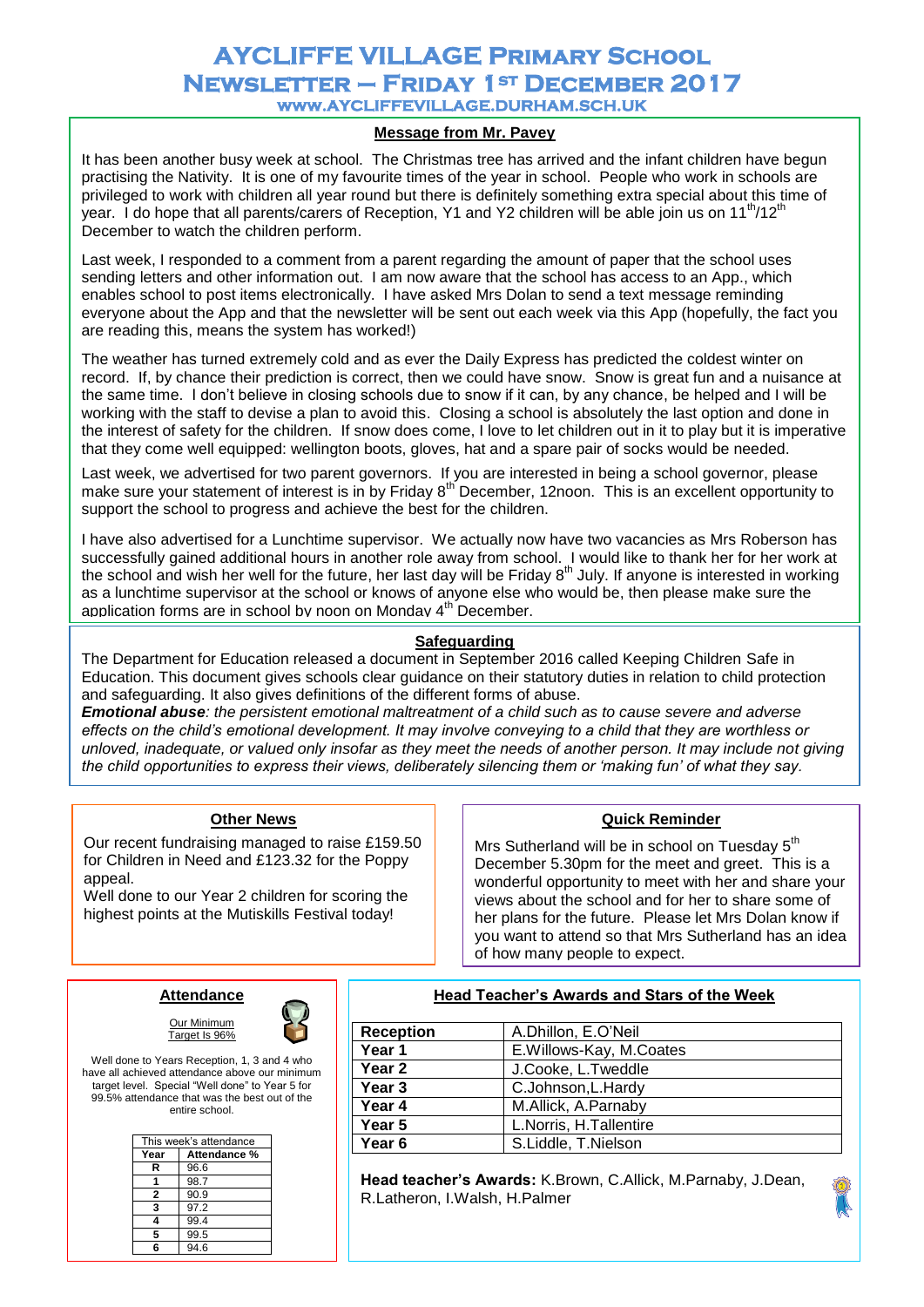# **AYCLIFFE VILLAGE Primary School Newsletter – Friday 1st December 2017 www.AYCLIFFEVILLAGE.DURHAM.SCH.UK**

## **Message from Mr. Pavey**

It has been another busy week at school. The Christmas tree has arrived and the infant children have begun practising the Nativity. It is one of my favourite times of the year in school. People who work in schools are privileged to work with children all year round but there is definitely something extra special about this time of year. I do hope that all parents/carers of Reception, Y1 and Y2 children will be able join us on  $11<sup>th</sup>/12<sup>th</sup>$ December to watch the children perform.

Last week, I responded to a comment from a parent regarding the amount of paper that the school uses sending letters and other information out. I am now aware that the school has access to an App., which enables school to post items electronically. I have asked Mrs Dolan to send a text message reminding everyone about the App and that the newsletter will be sent out each week via this App (hopefully, the fact you are reading this, means the system has worked!)

The weather has turned extremely cold and as ever the Daily Express has predicted the coldest winter on record. If, by chance their prediction is correct, then we could have snow. Snow is great fun and a nuisance at the same time. I don't believe in closing schools due to snow if it can, by any chance, be helped and I will be working with the staff to devise a plan to avoid this. Closing a school is absolutely the last option and done in the interest of safety for the children. If snow does come, I love to let children out in it to play but it is imperative that they come well equipped: wellington boots, gloves, hat and a spare pair of socks would be needed.

Last week, we advertised for two parent governors. If you are interested in being a school governor, please make sure your statement of interest is in by Friday 8<sup>th</sup> December, 12noon. This is an excellent opportunity to support the school to progress and achieve the best for the children.

I have also advertised for a Lunchtime supervisor. We actually now have two vacancies as Mrs Roberson has successfully gained additional hours in another role away from school. I would like to thank her for her work at the school and wish her well for the future, her last day will be Friday 8th July. If anyone is interested in working as a lunchtime supervisor at the school or knows of anyone else who would be, then please make sure the application forms are in school by noon on Monday 4<sup>th</sup> December.

### **Safeguarding**

The Department for Education released a document in September 2016 called Keeping Children Safe in Education. This document gives schools clear guidance on their statutory duties in relation to child protection and safeguarding. It also gives definitions of the different forms of abuse.

*Emotional abuse: the persistent emotional maltreatment of a child such as to cause severe and adverse effects on the child's emotional development. It may involve conveying to a child that they are worthless or unloved, inadequate, or valued only insofar as they meet the needs of another person. It may include not giving the child opportunities to express their views, deliberately silencing them or 'making fun' of what they say.* 

### **Other News**

Our recent fundraising managed to raise £159.50 for Children in Need and £123.32 for the Poppy appeal.

Well done to our Year 2 children for scoring the highest points at the Mutiskills Festival today!

#### **Quick Reminder**

Mrs Sutherland will be in school on Tuesday 5<sup>th</sup> December 5.30pm for the meet and greet. This is a wonderful opportunity to meet with her and share your views about the school and for her to share some of her plans for the future. Please let Mrs Dolan know if you want to attend so that Mrs Sutherland has an idea of how many people to expect.

## **Attendance**



Well done to Years Reception, 1, 3 and 4 who have all achieved attendance above our minimum target level. Special "Well done" to Year 5 for 99.5% attendance that was the best out of the entire school.

Our Minimum Target Is 96%

| This week's attendance |              |
|------------------------|--------------|
| Year                   | Attendance % |
| R                      | 96.6         |
|                        | 98.7         |
| 2                      | 90.9         |
| 3                      | 97.2         |
|                        | 99.4         |
| 5                      | 99.5         |
|                        | 94.6         |

#### **Head Teacher's Awards and Stars of the Week**

| <b>Reception</b> | A.Dhillon, E.O'Neil     |
|------------------|-------------------------|
| Year 1           | E.Willows-Kay, M.Coates |
| Year 2           | J.Cooke, L.Tweddle      |
| Year 3           | C.Johnson, L. Hardy     |
| Year 4           | M.Allick, A.Parnaby     |
| Year 5           | L.Norris, H.Tallentire  |
| Year 6           | S.Liddle, T.Nielson     |

**Head teacher's Awards:** K.Brown, C.Allick, M.Parnaby, J.Dean, R.Latheron, I.Walsh, H.Palmer